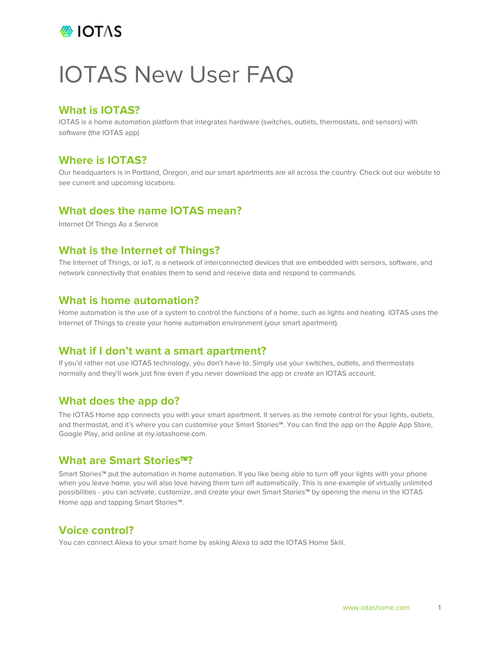

# IOTAS New User FAQ

## **What is IOTAS?**

IOTAS is a home automation platform that integrates hardware (switches, outlets, thermostats, and sensors) with software (the IOTAS app)

## **Where is IOTAS?**

Our headquarters is in Portland, Oregon, and our smart apartments are all across the country. Check out our website to see current and upcoming locations.

#### **What does the name IOTAS mean?**

Internet Of Things As a Service

# **What is the Internet of Things?**

The Internet of Things, or IoT, is a network of interconnected devices that are embedded with sensors, software, and network connectivity that enables them to send and receive data and respond to commands.

#### **What is home automation?**

Home automation is the use of a system to control the functions of a home, such as lights and heating. IOTAS uses the Internet of Things to create your home automation environment (your smart apartment).

### **What if I don't want a smart apartment?**

If you'd rather not use IOTAS technology, you don't have to. Simply use your switches, outlets, and thermostats normally and they'll work just fine even if you never download the app or create an IOTAS account.

# **What does the app do?**

The IOTAS Home app connects you with your smart apartment. It serves as the remote control for your lights, outlets, and thermostat, and it's where you can customise your Smart Stories™. You can find the app on the Apple App Store, Google Play, and online at my.iotashome.com.

#### **What are Smart Stories**™**?**

Smart Stories™ put the automation in home automation. If you like being able to turn off your lights with your phone when you leave home, you will also love having them turn off automatically. This is one example of virtually unlimited possibilities - you can activate, customize, and create your own Smart Stories™ by opening the menu in the IOTAS Home app and tapping Smart Stories™.

# **Voice control?**

You can connect Alexa to your smart home by asking Alexa to add the IOTAS Home Skill.